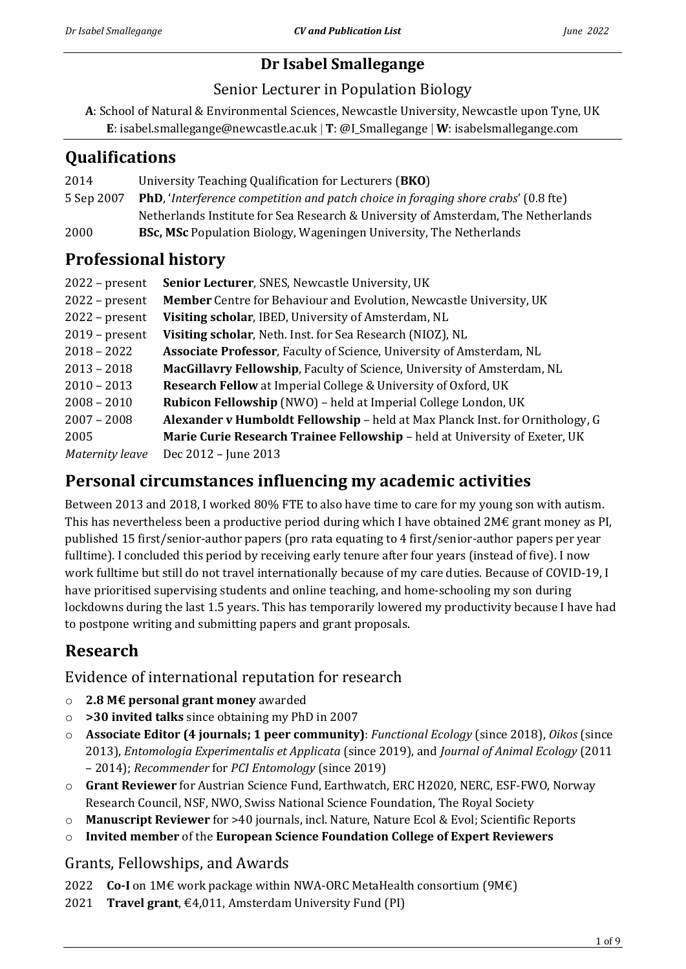# **Dr Isabel Smallegange**

### Senior Lecturer in Population Biology

**A**: School of Natural & Environmental Sciences, Newcastle University, Newcastle upon Tyne, UK **E**: isabel.smallegange@newcastle.ac.uk **T**: @I\_Smallegange **W**: isabelsmallegange.com

# **Qualifications**

| 2014       | University Teaching Qualification for Lecturers (BKO)                                      |
|------------|--------------------------------------------------------------------------------------------|
| 5 Sep 2007 | <b>PhD</b> , 'Interference competition and patch choice in foraging shore crabs' (0.8 fte) |
|            | Netherlands Institute for Sea Research & University of Amsterdam, The Netherlands          |
| 2000       | <b>BSc, MSc</b> Population Biology, Wageningen University, The Netherlands                 |
|            |                                                                                            |

# **Professional history**

| $2022$ – present       | Senior Lecturer, SNES, Newcastle University, UK                               |
|------------------------|-------------------------------------------------------------------------------|
| $2022$ – present       | Member Centre for Behaviour and Evolution, Newcastle University, UK           |
| $2022$ – present       | Visiting scholar, IBED, University of Amsterdam, NL                           |
| $2019$ – present       | Visiting scholar, Neth. Inst. for Sea Research (NIOZ), NL                     |
| $2018 - 2022$          | Associate Professor, Faculty of Science, University of Amsterdam, NL          |
| $2013 - 2018$          | MacGillavry Fellowship, Faculty of Science, University of Amsterdam, NL       |
| $2010 - 2013$          | <b>Research Fellow</b> at Imperial College & University of Oxford, UK         |
| $2008 - 2010$          | Rubicon Fellowship (NWO) - held at Imperial College London, UK                |
| $2007 - 2008$          | Alexander v Humboldt Fellowship - held at Max Planck Inst. for Ornithology, G |
| 2005                   | Marie Curie Research Trainee Fellowship - held at University of Exeter, UK    |
| <b>Maternity leave</b> | Dec 2012 - June 2013                                                          |

# **Personal circumstances influencing my academic activities**

Between 2013 and 2018, I worked 80% FTE to also have time to care for my young son with autism. This has nevertheless been a productive period during which I have obtained  $2M\epsilon$  grant money as PI, published 15 first/senior-author papers (pro rata equating to 4 first/senior-author papers per year fulltime). I concluded this period by receiving early tenure after four years (instead of five). I now work fulltime but still do not travel internationally because of my care duties. Because of COVID-19, I have prioritised supervising students and online teaching, and home-schooling my son during lockdowns during the last 1.5 years. This has temporarily lowered my productivity because I have had to postpone writing and submitting papers and grant proposals.

# **Research**

## Evidence of international reputation for research

- o **2.8 M€ personal grant money** awarded
- o **>30 invited talks** since obtaining my PhD in 2007
- o **Associate Editor (4 journals; 1 peer community)**: *Functional Ecology* (since 2018), *Oikos* (since 2013), *Entomologia Experimentalis et Applicata* (since 2019), and *Journal of Animal Ecology* (2011 – 2014); *Recommender* for *PCI Entomology* (since 2019)
- o **Grant Reviewer** for Austrian Science Fund, Earthwatch, ERC H2020, NERC, ESF-FWO, Norway Research Council, NSF, NWO, Swiss National Science Foundation, The Royal Society
- o **Manuscript Reviewer** for >40 journals, incl. Nature, Nature Ecol & Evol; Scientific Reports
- o **Invited member** of the **European Science Foundation College of Expert Reviewers**

## Grants, Fellowships, and Awards

- 2022 **Co-I** on 1M€ work package within NWA-ORC MetaHealth consortium (9M€)
- 2021 **Travel grant**, €4,011, Amsterdam University Fund (PI)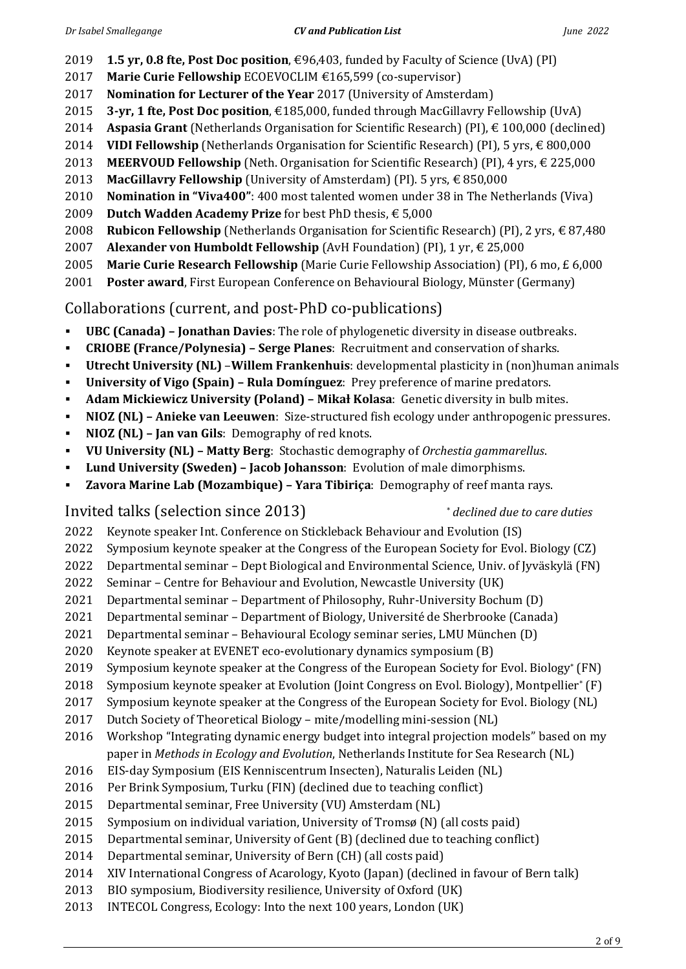- **1.5 yr, 0.8 fte, Post Doc position**, €96,403, funded by Faculty of Science (UvA) (PI)
- **Marie Curie Fellowship** ECOEVOCLIM €165,599 (co-supervisor)
- **Nomination for Lecturer of the Year** 2017 (University of Amsterdam)
- **3-yr, 1 fte, Post Doc position**, €185,000, funded through MacGillavry Fellowship (UvA)
- **Aspasia Grant** (Netherlands Organisation for Scientific Research) (PI), € 100,000 (declined)
- **VIDI Fellowship** (Netherlands Organisation for Scientific Research) (PI), 5 yrs, € 800,000
- **MEERVOUD Fellowship** (Neth. Organisation for Scientific Research) (PI), 4 yrs, € 225,000
- **MacGillavry Fellowship** (University of Amsterdam) (PI). 5 yrs, € 850,000
- **Nomination in "Viva400"**: 400 most talented women under 38 in The Netherlands (Viva)
- **Dutch Wadden Academy Prize** for best PhD thesis, € 5,000
- **Rubicon Fellowship** (Netherlands Organisation for Scientific Research) (PI), 2 yrs, € 87,480
- **Alexander von Humboldt Fellowship** (AvH Foundation) (PI), 1 yr, € 25,000
- **Marie Curie Research Fellowship** (Marie Curie Fellowship Association) (PI), 6 mo, £ 6,000
- **Poster award**, First European Conference on Behavioural Biology, Münster (Germany)

## Collaborations (current, and post-PhD co-publications)

- **UBC (Canada) – Jonathan Davies**: The role of phylogenetic diversity in disease outbreaks.
- **CRIOBE (France/Polynesia) – Serge Planes**: Recruitment and conservation of sharks.
- **Utrecht University (NL)** –**Willem Frankenhuis**: developmental plasticity in (non)human animals
- **University of Vigo (Spain) – Rula Domínguez**: Prey preference of marine predators.
- **Adam Mickiewicz University (Poland) – Mikaƚ Kolasa**: Genetic diversity in bulb mites.
- **NIOZ (NL) – Anieke van Leeuwen**: Size-structured fish ecology under anthropogenic pressures.
- **NIOZ (NL) – Jan van Gils**: Demography of red knots.
- **VU University (NL) – Matty Berg**: Stochastic demography of *Orchestia gammarellus*.
- **Lund University (Sweden) – Jacob Johansson**: Evolution of male dimorphisms.
- **Zavora Marine Lab (Mozambique) – Yara Tibiriça**: Demography of reef manta rays.

# Invited talks (selection since 2013) \* *declined due to care duties*

- Keynote speaker Int. Conference on Stickleback Behaviour and Evolution (IS)
- Symposium keynote speaker at the Congress of the European Society for Evol. Biology (CZ)
- Departmental seminar Dept Biological and Environmental Science, Univ. of Jyväskylä (FN)
- Seminar Centre for Behaviour and Evolution, Newcastle University (UK)
- Departmental seminar Department of Philosophy, Ruhr-University Bochum (D)
- Departmental seminar Department of Biology, Université de Sherbrooke (Canada)
- Departmental seminar Behavioural Ecology seminar series, LMU München (D)
- Keynote speaker at EVENET eco-evolutionary dynamics symposium (B)
- Symposium keynote speaker at the Congress of the European Society for Evol. Biology\* (FN)
- Symposium keynote speaker at Evolution (Joint Congress on Evol. Biology), Montpellier\* (F)
- Symposium keynote speaker at the Congress of the European Society for Evol. Biology (NL)
- Dutch Society of Theoretical Biology mite/modelling mini-session (NL)
- Workshop "Integrating dynamic energy budget into integral projection models" based on my paper in *Methods in Ecology and Evolution*, Netherlands Institute for Sea Research (NL)
- EIS-day Symposium (EIS Kenniscentrum Insecten), Naturalis Leiden (NL)
- Per Brink Symposium, Turku (FIN) (declined due to teaching conflict)
- Departmental seminar, Free University (VU) Amsterdam (NL)
- Symposium on individual variation, University of Tromsø (N) (all costs paid)
- Departmental seminar, University of Gent (B) (declined due to teaching conflict)
- Departmental seminar, University of Bern (CH) (all costs paid)
- XIV International Congress of Acarology, Kyoto (Japan) (declined in favour of Bern talk)
- BIO symposium, Biodiversity resilience, University of Oxford (UK)
- INTECOL Congress, Ecology: Into the next 100 years, London (UK)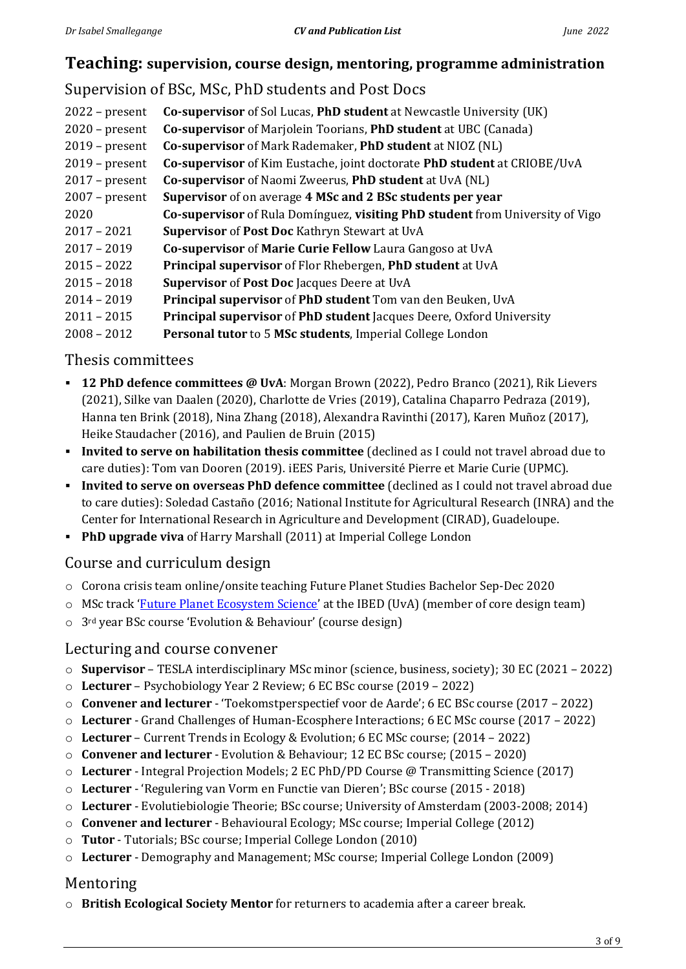### **Teaching: supervision, course design, mentoring, programme administration**

# Supervision of BSc, MSc, PhD students and Post Docs

| $2022$ – present | Co-supervisor of Sol Lucas, PhD student at Newcastle University (UK)          |
|------------------|-------------------------------------------------------------------------------|
| $2020$ – present | Co-supervisor of Marjolein Toorians, PhD student at UBC (Canada)              |
| $2019$ – present | Co-supervisor of Mark Rademaker, PhD student at NIOZ (NL)                     |
| $2019$ – present | Co-supervisor of Kim Eustache, joint doctorate PhD student at CRIOBE/UvA      |
| $2017$ – present | Co-supervisor of Naomi Zweerus, PhD student at UvA (NL)                       |
| $2007$ – present | Supervisor of on average 4 MSc and 2 BSc students per year                    |
| 2020             | Co-supervisor of Rula Domínguez, visiting PhD student from University of Vigo |
| $2017 - 2021$    | Supervisor of Post Doc Kathryn Stewart at UvA                                 |
| $2017 - 2019$    | Co-supervisor of Marie Curie Fellow Laura Gangoso at UvA                      |
| $2015 - 2022$    | Principal supervisor of Flor Rhebergen, PhD student at UvA                    |
| $2015 - 2018$    | Supervisor of Post Doc Jacques Deere at UvA                                   |
| $2014 - 2019$    | Principal supervisor of PhD student Tom van den Beuken, UvA                   |
| $2011 - 2015$    | <b>Principal supervisor of PhD student Jacques Deere, Oxford University</b>   |
| $2008 - 2012$    | <b>Personal tutor to 5 MSc students, Imperial College London</b>              |

### Thesis committees

- **12 PhD defence committees @ UvA**: Morgan Brown (2022), Pedro Branco (2021), Rik Lievers (2021), Silke van Daalen (2020), Charlotte de Vries (2019), Catalina Chaparro Pedraza (2019), Hanna ten Brink (2018), Nina Zhang (2018), Alexandra Ravinthi (2017), Karen Muñoz (2017), Heike Staudacher (2016), and Paulien de Bruin (2015)
- **Invited to serve on habilitation thesis committee** (declined as I could not travel abroad due to care duties): Tom van Dooren (2019). iEES Paris, Université Pierre et Marie Curie (UPMC).
- **Invited to serve on overseas PhD defence committee** (declined as I could not travel abroad due to care duties): Soledad Castaño (2016; National Institute for Agricultural Research (INRA) and the Center for International Research in Agriculture and Development (CIRAD), Guadeloupe.
- **PhD upgrade viva** of Harry Marshall (2011) at Imperial College London

### Course and curriculum design

- o Corona crisis team online/onsite teaching Future Planet Studies Bachelor Sep-Dec 2020
- o MSc track '[Future Planet Ecosystem Science](http://www.uva.nl/en/programmes/masters/earth-sciences-future-planet-ecosystem-science/earth-sciences-future-planet-ecosystem-science.html)' at the IBED (UvA) (member of core design team)
- o 3rd year BSc course 'Evolution & Behaviour' (course design)

### Lecturing and course convener

- o **Supervisor** TESLA interdisciplinary MSc minor (science, business, society); 30 EC (2021 2022)
- o **Lecturer** Psychobiology Year 2 Review; 6 EC BSc course (2019 2022)
- o **Convener and lecturer** 'Toekomstperspectief voor de Aarde'; 6 EC BSc course (2017 2022)
- o **Lecturer** Grand Challenges of Human-Ecosphere Interactions; 6 EC MSc course (2017 2022)
- o **Lecturer** Current Trends in Ecology & Evolution; 6 EC MSc course; (2014 2022)
- o **Convener and lecturer** Evolution & Behaviour; 12 EC BSc course; (2015 2020)
- o **Lecturer** Integral Projection Models; 2 EC PhD/PD Course @ Transmitting Science (2017)
- o **Lecturer** 'Regulering van Vorm en Functie van Dieren'; BSc course (2015 2018)
- o **Lecturer** Evolutiebiologie Theorie; BSc course; University of Amsterdam (2003-2008; 2014)
- o **Convener and lecturer** Behavioural Ecology; MSc course; Imperial College (2012)
- o **Tutor** Tutorials; BSc course; Imperial College London (2010)
- o **Lecturer** Demography and Management; MSc course; Imperial College London (2009)

## Mentoring

o **British Ecological Society Mentor** for returners to academia after a career break.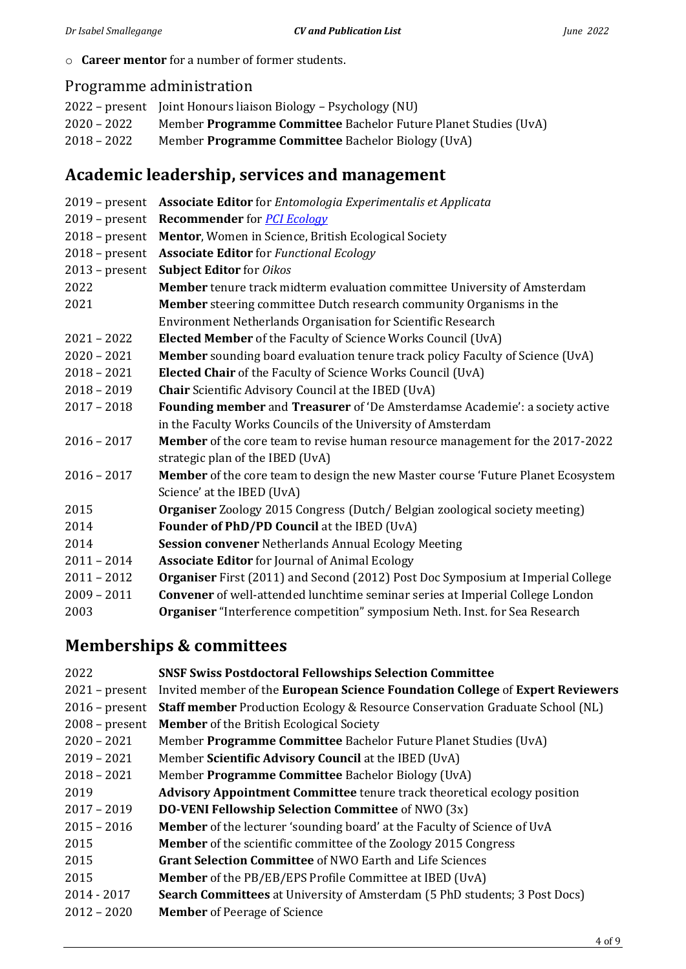o **Career mentor** for a number of former students.

# Programme administration

|               | 2022 – present Joint Honours liaison Biology – Psychology (NU)  |
|---------------|-----------------------------------------------------------------|
| 2020 – 2022   | Member Programme Committee Bachelor Future Planet Studies (UvA) |
| $2018 - 2022$ | Member <b>Programme Committee</b> Bachelor Biology (UvA)        |

# **Academic leadership, services and management**

| $2019$ – present | <b>Associate Editor</b> for <i>Entomologia Experimentalis et Applicata</i>              |
|------------------|-----------------------------------------------------------------------------------------|
| $2019$ – present | <b>Recommender</b> for <b>PCI Ecology</b>                                               |
| $2018$ – present | Mentor, Women in Science, British Ecological Society                                    |
| $2018$ – present | <b>Associate Editor</b> for Functional Ecology                                          |
| $2013$ – present | <b>Subject Editor</b> for Oikos                                                         |
| 2022             | Member tenure track midterm evaluation committee University of Amsterdam                |
| 2021             | Member steering committee Dutch research community Organisms in the                     |
|                  | Environment Netherlands Organisation for Scientific Research                            |
| $2021 - 2022$    | <b>Elected Member</b> of the Faculty of Science Works Council (UvA)                     |
| $2020 - 2021$    | <b>Member</b> sounding board evaluation tenure track policy Faculty of Science (UvA)    |
| $2018 - 2021$    | Elected Chair of the Faculty of Science Works Council (UvA)                             |
| $2018 - 2019$    | <b>Chair</b> Scientific Advisory Council at the IBED (UvA)                              |
| $2017 - 2018$    | Founding member and Treasurer of 'De Amsterdamse Academie': a society active            |
|                  | in the Faculty Works Councils of the University of Amsterdam                            |
| $2016 - 2017$    | <b>Member</b> of the core team to revise human resource management for the 2017-2022    |
|                  | strategic plan of the IBED (UvA)                                                        |
| $2016 - 2017$    | <b>Member</b> of the core team to design the new Master course 'Future Planet Ecosystem |
|                  | Science' at the IBED (UvA)                                                              |
| 2015             | Organiser Zoology 2015 Congress (Dutch/ Belgian zoological society meeting)             |
| 2014             | <b>Founder of PhD/PD Council at the IBED (UvA)</b>                                      |
| 2014             | Session convener Netherlands Annual Ecology Meeting                                     |
| $2011 - 2014$    | <b>Associate Editor</b> for Journal of Animal Ecology                                   |
| $2011 - 2012$    | <b>Organiser</b> First (2011) and Second (2012) Post Doc Symposium at Imperial College  |
| $2009 - 2011$    | Convener of well-attended lunchtime seminar series at Imperial College London           |
| 2003             | Organiser "Interference competition" symposium Neth. Inst. for Sea Research             |
|                  |                                                                                         |

# **Memberships & committees**

| 2022             | <b>SNSF Swiss Postdoctoral Fellowships Selection Committee</b>                      |
|------------------|-------------------------------------------------------------------------------------|
| $2021$ – present | Invited member of the European Science Foundation College of Expert Reviewers       |
| $2016$ – present | <b>Staff member</b> Production Ecology & Resource Conservation Graduate School (NL) |
| $2008$ – present | <b>Member</b> of the British Ecological Society                                     |
| $2020 - 2021$    | Member Programme Committee Bachelor Future Planet Studies (UvA)                     |
| $2019 - 2021$    | Member Scientific Advisory Council at the IBED (UvA)                                |
| $2018 - 2021$    | Member Programme Committee Bachelor Biology (UvA)                                   |
| 2019             | <b>Advisory Appointment Committee</b> tenure track theoretical ecology position     |
| $2017 - 2019$    | <b>DO-VENI Fellowship Selection Committee</b> of NWO (3x)                           |
| $2015 - 2016$    | <b>Member</b> of the lecturer 'sounding board' at the Faculty of Science of UvA     |
| 2015             | <b>Member</b> of the scientific committee of the Zoology 2015 Congress              |
| 2015             | <b>Grant Selection Committee of NWO Earth and Life Sciences</b>                     |
| 2015             | Member of the PB/EB/EPS Profile Committee at IBED (UvA)                             |
| $2014 - 2017$    | <b>Search Committees</b> at University of Amsterdam (5 PhD students; 3 Post Docs)   |
| $2012 - 2020$    | <b>Member</b> of Peerage of Science                                                 |
|                  |                                                                                     |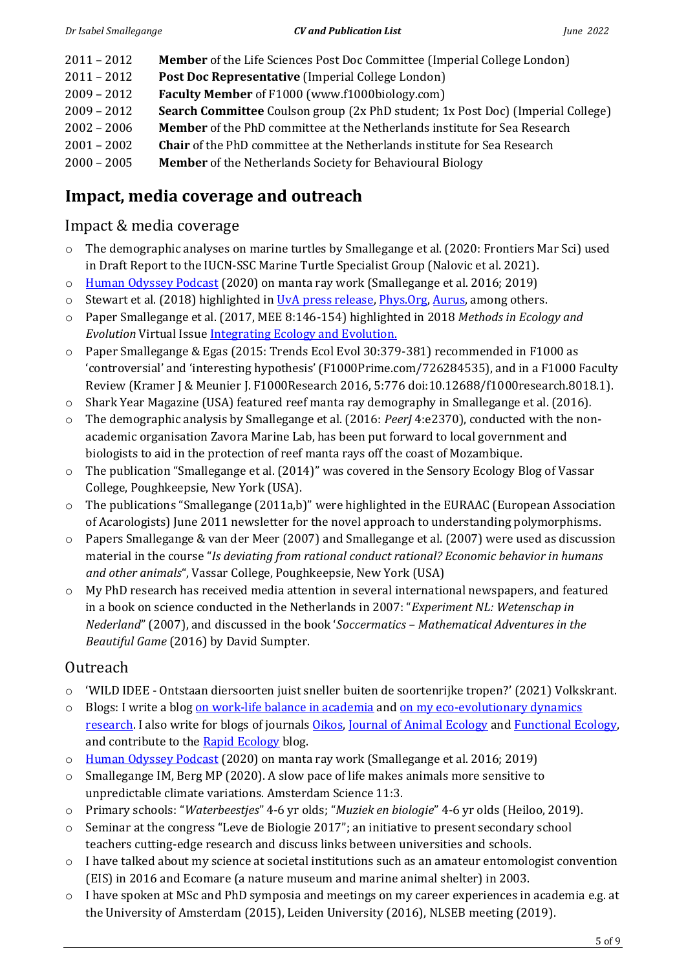- 2011 2012 **Member** of the Life Sciences Post Doc Committee (Imperial College London)
- 2011 2012 **Post Doc Representative** (Imperial College London)
- 2009 2012 **Faculty Member** of F1000 (www.f1000biology.com)
- 2009 2012 **Search Committee** Coulson group (2x PhD student; 1x Post Doc) (Imperial College)
- 2002 2006 **Member** of the PhD committee at the Netherlands institute for Sea Research
- 2001 2002 **Chair** of the PhD committee at the Netherlands institute for Sea Research
- 2000 2005 **Member** of the Netherlands Society for Behavioural Biology

# **Impact, media coverage and outreach**

## Impact & media coverage

- o The demographic analyses on marine turtles by Smallegange et al. (2020: Frontiers Mar Sci) used in Draft Report to the IUCN-SSC Marine Turtle Specialist Group (Nalovic et al. 2021).
- o [Human Odyssey Podcast](https://open.spotify.com/episode/6sMyTPvduNnabDikH3KZ7T) (2020) on manta ray work (Smallegange et al. 2016; 2019)
- $\circ$  Stewart et al. (2018) highlighted in [UvA press release,](http://www.uva.nl/en/content/news/press-releases/2018/05/researchers-discover-new-male-variant-of-bulb-mite.html) Phys. Org, [Aurus,](https://aurus.website/2018/05/19/researchers-discover-new-male-variant-of-bulb-mite/) among others.
- o Paper Smallegange et al. (2017, MEE 8:146-154) highlighted in 2018 *Methods in Ecology and Evolution* Virtual Issue [Integrating Ecology and Evolution.](https://besjournals.onlinelibrary.wiley.com/doi/toc/10.1111/(ISSN)2041-210x.EvolutionMEE32018)
- o Paper Smallegange & Egas (2015: Trends Ecol Evol 30:379-381) recommended in F1000 as 'controversial' and 'interesting hypothesis' (F1000Prime.com/726284535), and in a F1000 Faculty Review (Kramer J & Meunier J. F1000Research 2016, 5:776 doi:10.12688/f1000research.8018.1).
- o Shark Year Magazine (USA) featured reef manta ray demography in Smallegange et al. (2016)*.*
- o The demographic analysis by Smallegange et al. (2016: *PeerJ* 4:e2370), conducted with the nonacademic organisation Zavora Marine Lab, has been put forward to local government and biologists to aid in the protection of reef manta rays off the coast of Mozambique.
- o The publication "Smallegange et al. (2014)" was covered in the Sensory Ecology Blog of Vassar College, Poughkeepsie, New York (USA).
- $\circ$  The publications "Smallegange (2011a,b)" were highlighted in the EURAAC (European Association of Acarologists) June 2011 newsletter for the novel approach to understanding polymorphisms.
- o Papers Smallegange & van der Meer (2007) and Smallegange et al. (2007) were used as discussion material in the course "*Is deviating from rational conduct rational? Economic behavior in humans and other animals*", Vassar College, Poughkeepsie, New York (USA)
- o My PhD research has received media attention in several international newspapers, and featured in a book on science conducted in the Netherlands in 2007: "*Experiment NL: Wetenschap in Nederland*" (2007), and discussed in the book '*Soccermatics – Mathematical Adventures in the Beautiful Game* (2016) by David Sumpter.

# Outreach

- o 'WILD IDEE Ontstaan diersoorten juist sneller buiten de soortenrijke tropen?' (2021) Volkskrant.
- o Blogs: I write a blog [on work-life balance in academia](https://isabelsmallegange.com/category/work-life-balance/) and on my eco-evolutionary dynamics [research.](https://isabelsmallegange.com/category/eco-evolutionary-dynamics/) I also write for blogs of journals *Oikos*, [Journal of Animal Ecology](https://journalofanimalecology.wordpress.com/blog/?blogsub=confirmed) and Functional Ecology, and contribute to the [Rapid Ecology](https://rapidecology.com/) blog.
- o [Human Odyssey Podcast](https://open.spotify.com/episode/6sMyTPvduNnabDikH3KZ7T) (2020) on manta ray work (Smallegange et al. 2016; 2019)
- o Smallegange IM, Berg MP (2020). A slow pace of life makes animals more sensitive to unpredictable climate variations. Amsterdam Science 11:3.
- o Primary schools: "*Waterbeestjes*" 4-6 yr olds; "*Muziek en biologie*" 4-6 yr olds (Heiloo, 2019).
- o Seminar at the congress "Leve de Biologie 2017"; an initiative to present secondary school teachers cutting-edge research and discuss links between universities and schools.
- o I have talked about my science at societal institutions such as an amateur entomologist convention (EIS) in 2016 and Ecomare (a nature museum and marine animal shelter) in 2003.
- o I have spoken at MSc and PhD symposia and meetings on my career experiences in academia e.g. at the University of Amsterdam (2015), Leiden University (2016), NLSEB meeting (2019).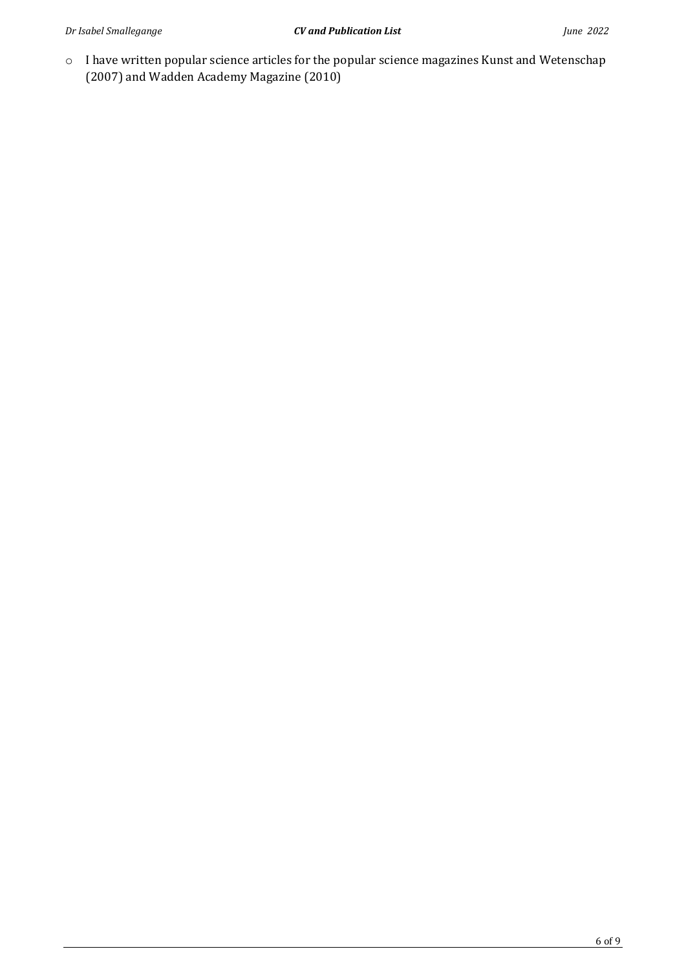o I have written popular science articles for the popular science magazines Kunst and Wetenschap (2007) and Wadden Academy Magazine (2010)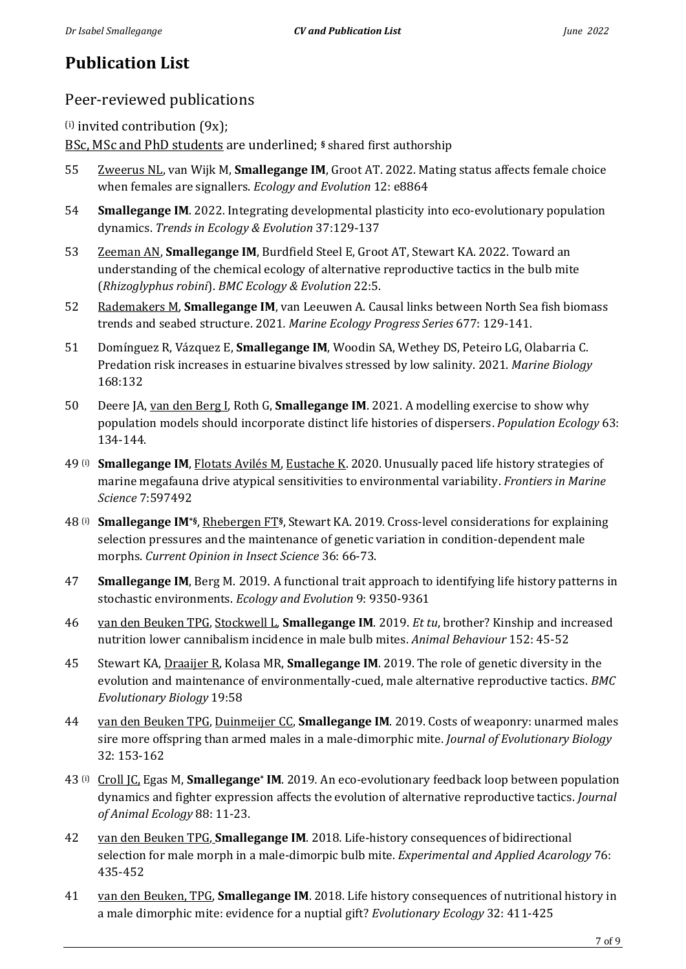# **Publication List**

## Peer-reviewed publications

 $(i)$  invited contribution  $(9x)$ ;

BSc, MSc and PhD students are underlined; **§** shared first authorship

- 55 Zweerus NL, van Wijk M, **Smallegange IM**, Groot AT. 2022. Mating status affects female choice when females are signallers. *Ecology and Evolution* 12: e8864
- 54 **Smallegange IM**. 2022. Integrating developmental plasticity into eco-evolutionary population dynamics. *Trends in Ecology & Evolution* 37:129-137
- 53 Zeeman AN, **Smallegange IM**, Burdfield Steel E, Groot AT, Stewart KA. 2022. Toward an understanding of the chemical ecology of alternative reproductive tactics in the bulb mite (*Rhizoglyphus robini*). *BMC Ecology & Evolution* 22:5.
- 52 Rademakers M, **Smallegange IM**, van Leeuwen A. Causal links between North Sea fish biomass trends and seabed structure. 2021*. Marine Ecology Progress Series* 677: 129-141.
- 51 Domínguez R, Vázquez E, **Smallegange IM**, Woodin SA, Wethey DS, Peteiro LG, Olabarria C. Predation risk increases in estuarine bivalves stressed by low salinity. 2021. *Marine Biology* 168:132
- 50 Deere JA, van den Berg I, Roth G, **Smallegange IM**. 2021. A modelling exercise to show why population models should incorporate distinct life histories of dispersers. *Population Ecology* 63: 134-144.
- 49 (i) **Smallegange IM**, Flotats Avilés M, Eustache K. 2020. Unusually paced life history strategies of marine megafauna drive atypical sensitivities to environmental variability. *Frontiers in Marine Science* 7:597492
- 48 (i) **Smallegange IM\*§**, Rhebergen FT**§**, Stewart KA. 2019*.* Cross-level considerations for explaining selection pressures and the maintenance of genetic variation in condition-dependent male morphs. *Current Opinion in Insect Science* 36: 66-73.
- 47 **Smallegange IM**, Berg M. 2019. A functional trait approach to identifying life history patterns in stochastic environments. *Ecology and Evolution* 9: 9350-9361
- 46 van den Beuken TPG, Stockwell L, **Smallegange IM**. 2019. *Et tu*, brother? Kinship and increased nutrition lower cannibalism incidence in male bulb mites. *Animal Behaviour* 152: 45-52
- 45 Stewart KA, Draaijer R, Kolasa MR, **Smallegange IM**. 2019. The role of genetic diversity in the evolution and maintenance of environmentally-cued, male alternative reproductive tactics. *BMC Evolutionary Biology* 19:58
- 44 van den Beuken TPG, Duinmeijer CC, **Smallegange IM**. 2019. Costs of weaponry: unarmed males sire more offspring than armed males in a male-dimorphic mite. *Journal of Evolutionary Biology* 32: 153-162
- 43 (i) Croll JC, Egas M, **Smallegange\* IM**. 2019*.* An eco-evolutionary feedback loop between population dynamics and fighter expression affects the evolution of alternative reproductive tactics. *Journal of Animal Ecology* 88: 11-23.
- 42 van den Beuken TPG, **Smallegange IM**. 2018*.* Life-history consequences of bidirectional selection for male morph in a male-dimorpic bulb mite. *Experimental and Applied Acarology* 76: 435-452
- 41 van den Beuken, TPG, **Smallegange IM**. 2018. Life history consequences of nutritional history in a male dimorphic mite: evidence for a nuptial gift? *Evolutionary Ecology* 32: 411-425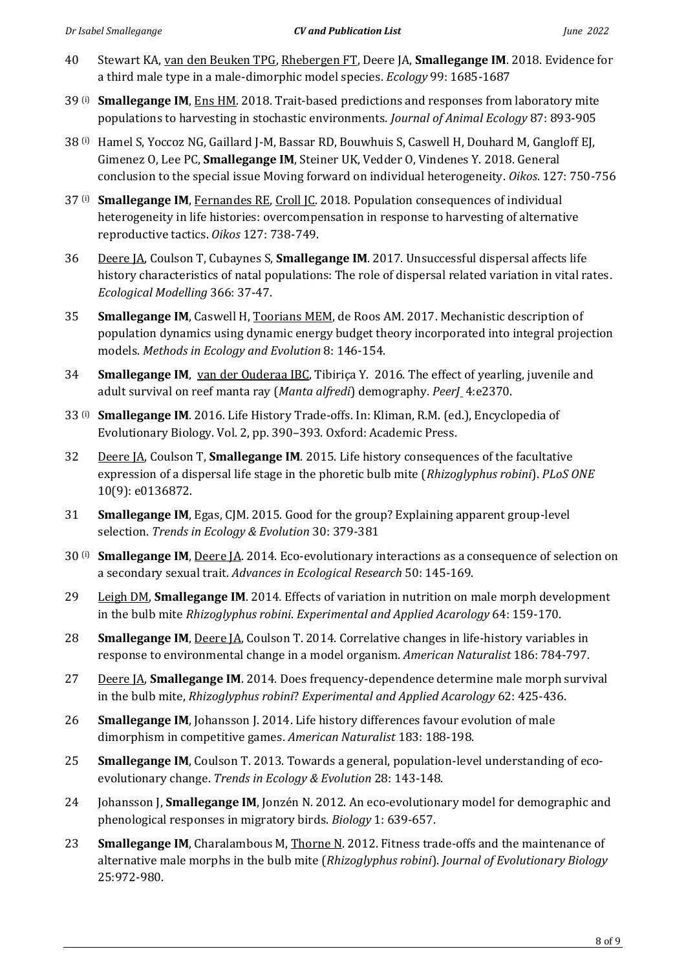- 40 Stewart KA, van den Beuken TPG, Rhebergen FT, Deere JA, **Smallegange IM**. 2018. Evidence for a third male type in a male-dimorphic model species. *Ecology* 99: 1685-1687
- 39 (i) **Smallegange IM**, Ens HM. 2018. Trait-based predictions and responses from laboratory mite populations to harvesting in stochastic environments. *Journal of Animal Ecology* 87: 893-905
- 38 (i) Hamel S, Yoccoz NG, Gaillard J-M, Bassar RD, Bouwhuis S, Caswell H, Douhard M, Gangloff EJ, Gimenez O, Lee PC, **Smallegange IM**, Steiner UK, Vedder O, Vindenes Y. 2018. General conclusion to the special issue Moving forward on individual heterogeneity. *Oikos*. 127: 750-756
- 37 (i) **Smallegange IM**, Fernandes RE, Croll JC. 2018*.* Population consequences of individual heterogeneity in life histories: overcompensation in response to harvesting of alternative reproductive tactics. *Oikos* 127: 738-749.
- 36 Deere JA, Coulson T, Cubaynes S, **Smallegange IM**. 2017. Unsuccessful dispersal affects life history characteristics of natal populations: The role of dispersal related variation in vital rates. *Ecological Modelling* 366: 37-47.
- 35 **Smallegange IM**, Caswell H, Toorians MEM, de Roos AM. 2017. Mechanistic description of population dynamics using dynamic energy budget theory incorporated into integral projection models. *Methods in Ecology and Evolution* 8: 146-154.
- 34 **Smallegange IM**, van der Ouderaa IBC, Tibiriça Y. 2016. The effect of yearling, juvenile and adult survival on reef manta ray (*Manta alfredi*) demography. *PeerJ* 4:e2370.
- 33 (i) **Smallegange IM**. 2016. Life History Trade-offs. In: Kliman, R.M. (ed.), Encyclopedia of Evolutionary Biology. Vol. 2, pp. 390–393. Oxford: Academic Press.
- 32 Deere JA, Coulson T, **Smallegange IM**. 2015. Life history consequences of the facultative expression of a dispersal life stage in the phoretic bulb mite (*Rhizoglyphus robini*). *PLoS ONE* 10(9): e0136872.
- 31 **Smallegange IM**, Egas, CJM. 2015. Good for the group? Explaining apparent group-level selection. *Trends in Ecology & Evolution* 30: 379-381
- 30 (i) **Smallegange IM**, Deere JA. 2014. Eco-evolutionary interactions as a consequence of selection on a secondary sexual trait. *Advances in Ecological Research* 50: 145-169.
- 29 Leigh DM, **Smallegange IM**. 2014*.* Effects of variation in nutrition on male morph development in the bulb mite *Rhizoglyphus robini*. *Experimental and Applied Acarology* 64: 159-170.
- 28 **Smallegange IM**, Deere JA, Coulson T. 2014. Correlative changes in life-history variables in response to environmental change in a model organism. *American Naturalist* 186: 784-797.
- 27 Deere JA, **Smallegange IM**. 2014*.* Does frequency-dependence determine male morph survival in the bulb mite, *Rhizoglyphus robini*? *Experimental and Applied Acarology* 62: 425-436.
- 26 **Smallegange IM**, Johansson J. 2014. Life history differences favour evolution of male dimorphism in competitive games. *American Naturalist* 183: 188-198.
- 25 **Smallegange IM**, Coulson T. 2013. Towards a general, population-level understanding of ecoevolutionary change. *Trends in Ecology & Evolution* 28: 143-148.
- 24 Johansson J, **Smallegange IM**, Jonzén N. 2012. An eco-evolutionary model for demographic and phenological responses in migratory birds. *Biology* 1: 639-657.
- 23 **Smallegange IM**, Charalambous M, Thorne N. 2012. Fitness trade-offs and the maintenance of alternative male morphs in the bulb mite (*Rhizoglyphus robini*). *Journal of Evolutionary Biology* 25:972-980.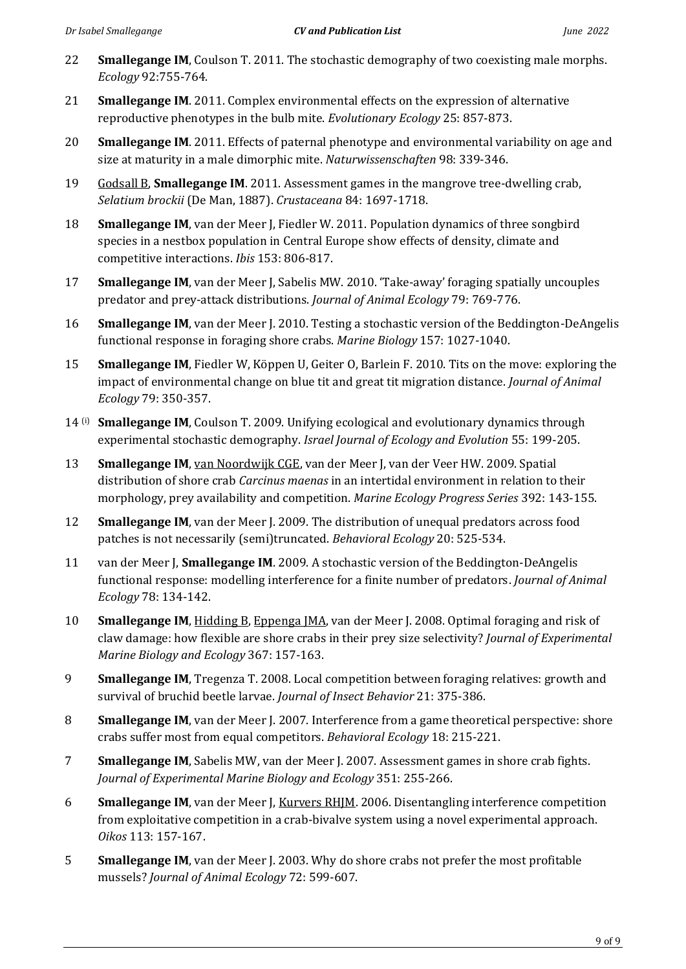- 22 **Smallegange IM**, Coulson T. 2011. The stochastic demography of two coexisting male morphs. *Ecology* 92:755-764.
- 21 **Smallegange IM**. 2011. Complex environmental effects on the expression of alternative reproductive phenotypes in the bulb mite. *Evolutionary Ecology* 25: 857-873.
- 20 **Smallegange IM**. 2011. Effects of paternal phenotype and environmental variability on age and size at maturity in a male dimorphic mite. *Naturwissenschaften* 98: 339-346.
- 19 Godsall B, **Smallegange IM**. 2011. Assessment games in the mangrove tree-dwelling crab, *Selatium brockii* (De Man, 1887). *Crustaceana* 84: 1697-1718.
- 18 **Smallegange IM**, van der Meer J, Fiedler W. 2011. Population dynamics of three songbird species in a nestbox population in Central Europe show effects of density, climate and competitive interactions. *Ibis* 153: 806-817.
- 17 **Smallegange IM**, van der Meer J, Sabelis MW. 2010. 'Take-away' foraging spatially uncouples predator and prey-attack distributions. *Journal of Animal Ecology* 79: 769-776.
- 16 **Smallegange IM**, van der Meer J. 2010. Testing a stochastic version of the Beddington-DeAngelis functional response in foraging shore crabs. *Marine Biology* 157: 1027-1040.
- 15 **Smallegange IM**, Fiedler W, Köppen U, Geiter O, Barlein F. 2010. Tits on the move: exploring the impact of environmental change on blue tit and great tit migration distance. *Journal of Animal Ecology* 79: 350-357.
- 14 (i) **Smallegange IM**, Coulson T. 2009. Unifying ecological and evolutionary dynamics through experimental stochastic demography. *Israel Journal of Ecology and Evolution* 55: 199-205.
- 13 **Smallegange IM**, van Noordwijk CGE, van der Meer J, van der Veer HW. 2009. Spatial distribution of shore crab *Carcinus maenas* in an intertidal environment in relation to their morphology, prey availability and competition. *Marine Ecology Progress Series* 392: 143-155.
- 12 **Smallegange IM**, van der Meer J. 2009. The distribution of unequal predators across food patches is not necessarily (semi)truncated. *Behavioral Ecology* 20: 525-534.
- 11 van der Meer J, **Smallegange IM**. 2009. A stochastic version of the Beddington-DeAngelis functional response: modelling interference for a finite number of predators. *Journal of Animal Ecology* 78: 134-142.
- 10 **Smallegange IM**, Hidding B, Eppenga JMA, van der Meer J. 2008. Optimal foraging and risk of claw damage: how flexible are shore crabs in their prey size selectivity? *Journal of Experimental Marine Biology and Ecology* 367: 157-163.
- 9 **Smallegange IM**, Tregenza T. 2008. Local competition between foraging relatives: growth and survival of bruchid beetle larvae. *Journal of Insect Behavior* 21: 375-386.
- 8 **Smallegange IM**, van der Meer J. 2007. Interference from a game theoretical perspective: shore crabs suffer most from equal competitors. *Behavioral Ecology* 18: 215-221.
- 7 **Smallegange IM**, Sabelis MW, van der Meer J. 2007. Assessment games in shore crab fights. *Journal of Experimental Marine Biology and Ecology* 351: 255-266.
- 6 **Smallegange IM**, van der Meer J, Kurvers RHJM. 2006. Disentangling interference competition from exploitative competition in a crab-bivalve system using a novel experimental approach. *Oikos* 113: 157-167.
- 5 **Smallegange IM**, van der Meer J. 2003. Why do shore crabs not prefer the most profitable mussels? *Journal of Animal Ecology* 72: 599-607.